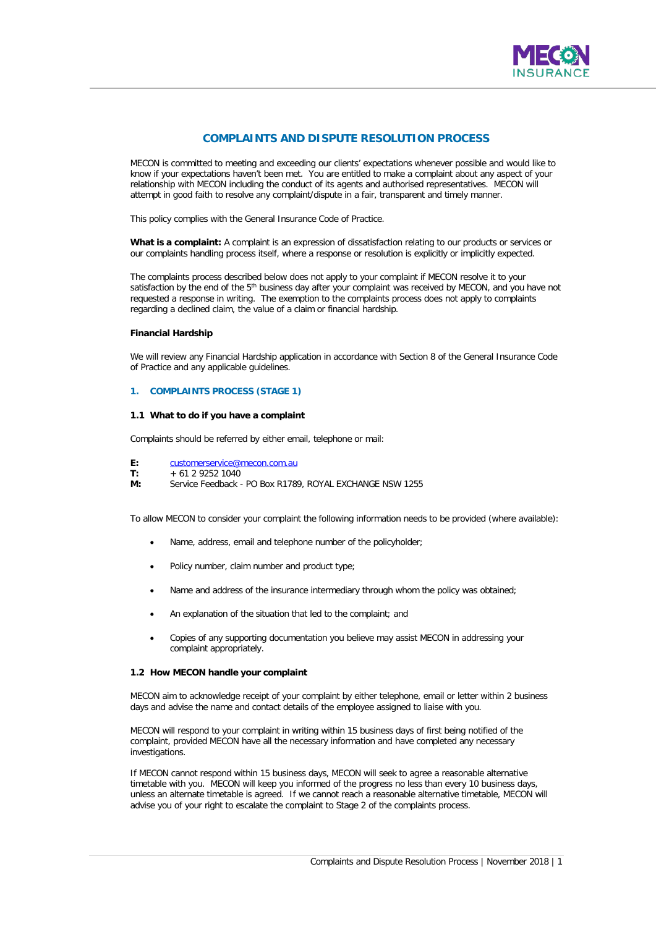

# **COMPLAINTS AND DISPUTE RESOLUTION PROCESS**

MECON is committed to meeting and exceeding our clients' expectations whenever possible and would like to know if your expectations haven't been met. You are entitled to make a complaint about any aspect of your relationship with MECON including the conduct of its agents and authorised representatives. MECON will attempt in good faith to resolve any complaint/dispute in a fair, transparent and timely manner.

This policy complies with the General Insurance Code of Practice.

**What is a complaint:** A complaint is an expression of dissatisfaction relating to our products or services or our complaints handling process itself, where a response or resolution is explicitly or implicitly expected.

The complaints process described below does not apply to your complaint if MECON resolve it to your satisfaction by the end of the 5<sup>th</sup> business day after your complaint was received by MECON, and you have not requested a response in writing. The exemption to the complaints process does not apply to complaints regarding a declined claim, the value of a claim or financial hardship.

## **Financial Hardship**

We will review any Financial Hardship application in accordance with Section 8 of the General Insurance Code of Practice and any applicable guidelines.

## **1. COMPLAINTS PROCESS (STAGE 1)**

### **1.1 What to do if you have a complaint**

Complaints should be referred by either email, telephone or mail:

E: [customerservice@mecon.com.au](mailto:customerservice@mecon.com.au)<br>T: + 61 2 9252 1040

**T:** + 61 2 9252 1040

**M:** Service Feedback - PO Box R1789, ROYAL EXCHANGE NSW 1255

To allow MECON to consider your complaint the following information needs to be provided (where available):

- Name, address, email and telephone number of the policyholder;
- Policy number, claim number and product type;
- Name and address of the insurance intermediary through whom the policy was obtained;
- An explanation of the situation that led to the complaint; and
- Copies of any supporting documentation you believe may assist MECON in addressing your complaint appropriately.

#### **1.2 How MECON handle your complaint**

MECON aim to acknowledge receipt of your complaint by either telephone, email or letter within 2 business days and advise the name and contact details of the employee assigned to liaise with you.

MECON will respond to your complaint in writing within 15 business days of first being notified of the complaint, provided MECON have all the necessary information and have completed any necessary investigations.

If MECON cannot respond within 15 business days, MECON will seek to agree a reasonable alternative timetable with you. MECON will keep you informed of the progress no less than every 10 business days, unless an alternate timetable is agreed. If we cannot reach a reasonable alternative timetable, MECON will advise you of your right to escalate the complaint to Stage 2 of the complaints process.